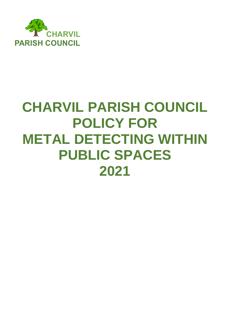

## **CHARVIL PARISH COUNCIL POLICY FOR METAL DETECTING WITHIN PUBLIC SPACES 2021**